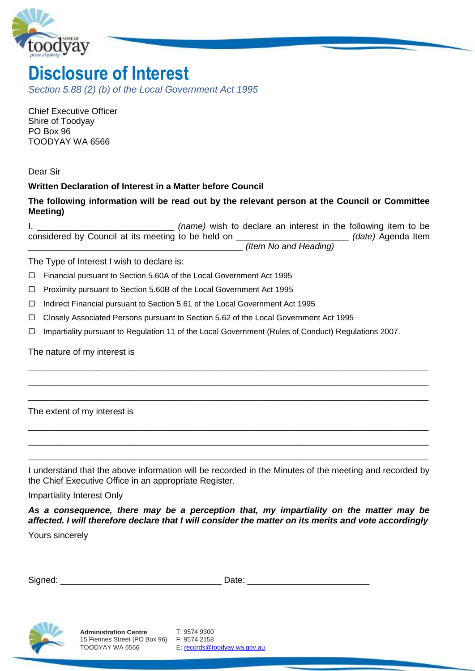

# **Disclosure of Interest**

*Section 5.88 (2) (b) of the Local Government Act 1995* 

Chief Executive Officer Shire of Toodyay PO Box 96 TOODYAY WA 6566

Dear Sir

# **Written Declaration of Interest in a Matter before Council**

## **The following information will be read out by the relevant person at the Council or Committee Meeting)**

I, \_\_\_\_\_\_\_\_\_\_\_\_\_\_\_\_\_\_\_\_\_\_\_\_\_\_\_\_ *(name)* wish to declare an interest in the following item to be considered by Council at its meeting to be held on \_\_\_\_\_\_\_\_\_\_\_\_\_\_\_\_\_\_\_\_\_\_\_ *(date)* Agenda Item \_\_\_\_\_\_\_\_\_\_\_\_\_\_\_\_\_\_\_\_\_\_\_\_\_\_\_\_\_\_\_\_\_\_\_\_\_\_\_\_\_\_\_\_ *(Item No and Heading)* 

The Type of Interest I wish to declare is:

Financial pursuant to Section 5.60A of the Local Government Act 1995

- □ Proximity pursuant to Section 5.60B of the Local Government Act 1995
- $\Box$  Indirect Financial pursuant to Section 5.61 of the Local Government Act 1995
- $\Box$  Closely Associated Persons pursuant to Section 5.62 of the Local Government Act 1995
- Impartiality pursuant to Regulation 11 of the Local Government (Rules of Conduct) Regulations 2007.

\_\_\_\_\_\_\_\_\_\_\_\_\_\_\_\_\_\_\_\_\_\_\_\_\_\_\_\_\_\_\_\_\_\_\_\_\_\_\_\_\_\_\_\_\_\_\_\_\_\_\_\_\_\_\_\_\_\_\_\_\_\_\_\_\_\_\_\_\_\_\_\_\_\_\_\_\_\_\_\_\_\_ \_\_\_\_\_\_\_\_\_\_\_\_\_\_\_\_\_\_\_\_\_\_\_\_\_\_\_\_\_\_\_\_\_\_\_\_\_\_\_\_\_\_\_\_\_\_\_\_\_\_\_\_\_\_\_\_\_\_\_\_\_\_\_\_\_\_\_\_\_\_\_\_\_\_\_\_\_\_\_\_\_\_ \_\_\_\_\_\_\_\_\_\_\_\_\_\_\_\_\_\_\_\_\_\_\_\_\_\_\_\_\_\_\_\_\_\_\_\_\_\_\_\_\_\_\_\_\_\_\_\_\_\_\_\_\_\_\_\_\_\_\_\_\_\_\_\_\_\_\_\_\_\_\_\_\_\_\_\_\_\_\_\_\_\_

The nature of my interest is

The extent of my interest is

I understand that the above information will be recorded in the Minutes of the meeting and recorded by the Chief Executive Office in an appropriate Register.

\_\_\_\_\_\_\_\_\_\_\_\_\_\_\_\_\_\_\_\_\_\_\_\_\_\_\_\_\_\_\_\_\_\_\_\_\_\_\_\_\_\_\_\_\_\_\_\_\_\_\_\_\_\_\_\_\_\_\_\_\_\_\_\_\_\_\_\_\_\_\_\_\_\_\_\_\_\_\_\_\_\_ \_\_\_\_\_\_\_\_\_\_\_\_\_\_\_\_\_\_\_\_\_\_\_\_\_\_\_\_\_\_\_\_\_\_\_\_\_\_\_\_\_\_\_\_\_\_\_\_\_\_\_\_\_\_\_\_\_\_\_\_\_\_\_\_\_\_\_\_\_\_\_\_\_\_\_\_\_\_\_\_\_\_ \_\_\_\_\_\_\_\_\_\_\_\_\_\_\_\_\_\_\_\_\_\_\_\_\_\_\_\_\_\_\_\_\_\_\_\_\_\_\_\_\_\_\_\_\_\_\_\_\_\_\_\_\_\_\_\_\_\_\_\_\_\_\_\_\_\_\_\_\_\_\_\_\_\_\_\_\_\_\_\_\_\_

Impartiality Interest Only

*As a consequence, there may be a perception that, my impartiality on the matter may be affected. I will therefore declare that I will consider the matter on its merits and vote accordingly* 

Yours sincerely

| <b>.</b><br>$\sim$ 1.6% $\sim$<br>יוכ<br>--<br>$\overline{\phantom{0}}$<br>-<br>--- |  |
|-------------------------------------------------------------------------------------|--|
|-------------------------------------------------------------------------------------|--|



E[: records@toodyay.wa.gov.au](mailto:records@toodyay.wa.gov.au)